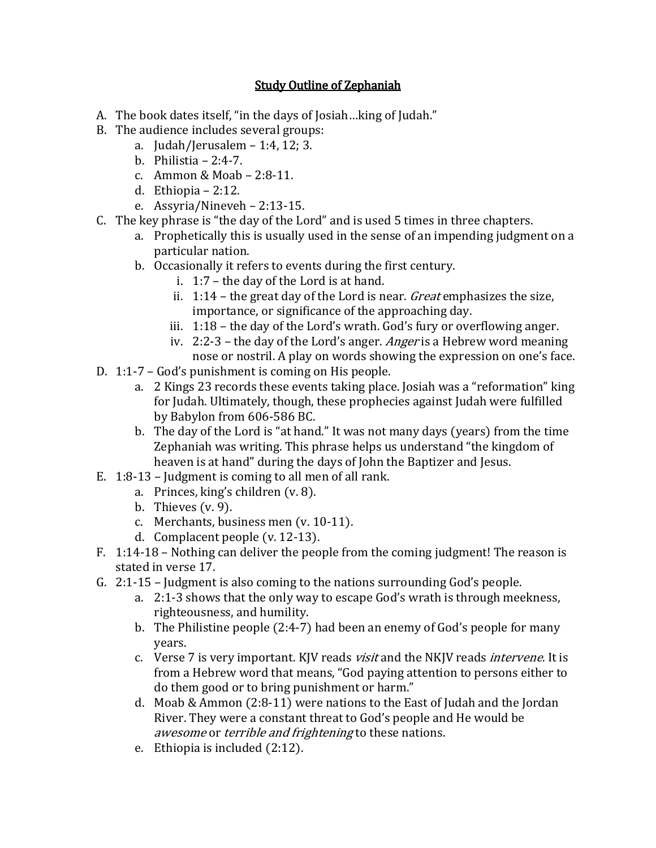## Study Outline of Zephaniah

- A. The book dates itself, "in the days of Josiah…king of Judah."
- B. The audience includes several groups:
	- a. Judah/Jerusalem 1:4, 12; 3.
	- b. Philistia 2:4-7.
	- c. Ammon & Moab 2:8-11.
	- d. Ethiopia 2:12.
	- e. Assyria/Nineveh 2:13-15.
- C. The key phrase is "the day of the Lord" and is used 5 times in three chapters.
	- a. Prophetically this is usually used in the sense of an impending judgment on a particular nation.
	- b. Occasionally it refers to events during the first century.
		- i. 1:7 the day of the Lord is at hand.
		- ii.  $1:14$  the great day of the Lord is near. *Great* emphasizes the size, importance, or significance of the approaching day.
		- iii. 1:18 the day of the Lord's wrath. God's fury or overflowing anger.
		- iv. 2:2-3 the day of the Lord's anger. Anger is a Hebrew word meaning nose or nostril. A play on words showing the expression on one's face.
- D. 1:1-7 God's punishment is coming on His people.
	- a. 2 Kings 23 records these events taking place. Josiah was a "reformation" king for Judah. Ultimately, though, these prophecies against Judah were fulfilled by Babylon from 606-586 BC.
	- b. The day of the Lord is "at hand." It was not many days (years) from the time Zephaniah was writing. This phrase helps us understand "the kingdom of heaven is at hand" during the days of John the Baptizer and Jesus.
- E. 1:8-13 Judgment is coming to all men of all rank.
	- a. Princes, king's children (v. 8).
	- b. Thieves  $(v. 9)$ .
	- c. Merchants, business men (v. 10-11).
	- d. Complacent people (v. 12-13).
- F. 1:14-18 Nothing can deliver the people from the coming judgment! The reason is stated in verse 17.
- G. 2:1-15 Judgment is also coming to the nations surrounding God's people.
	- a. 2:1-3 shows that the only way to escape God's wrath is through meekness, righteousness, and humility.
	- b. The Philistine people (2:4-7) had been an enemy of God's people for many years.
	- c. Verse 7 is very important. KJV reads *visit* and the NKJV reads *intervene*. It is from a Hebrew word that means, "God paying attention to persons either to do them good or to bring punishment or harm."
	- d. Moab & Ammon (2:8-11) were nations to the East of Judah and the Jordan River. They were a constant threat to God's people and He would be awesome or *terrible and frightening* to these nations.
	- e. Ethiopia is included (2:12).